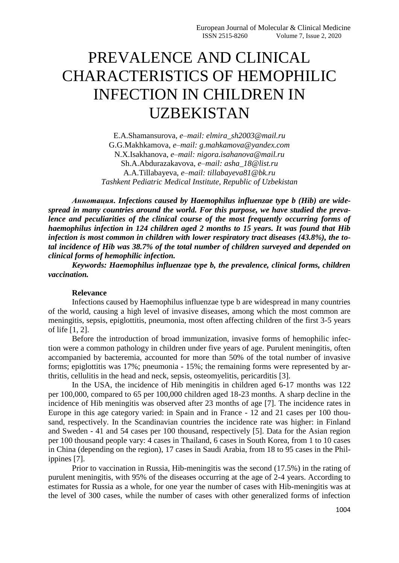## PREVALENCE AND CLINICAL CHARACTERISTICS OF HEMOPHILIC INFECTION IN CHILDREN IN UZBEKISTAN

E.A.Shamansurova, *e–mail: elmira\_sh2003@mail.ru* G.G.Makhkamova, *e–mail: g.mahkamova@yandex.com* N.X.Isakhanova, *e–mail: nigora.isahanova@mail.ru* Sh.A.Abdurazakavova, *e–mail: asha\_18@list.ru* A.A.Tillabayeva, *e–mail: tillabayeva81@bk.ru Tashkent Pediatric Medical Institute, Republic of Uzbekistan*

*Аннотация. Infections caused by Haemophilus influenzae type b (Hib) are widespread in many countries around the world. For this purpose, we have studied the prevalence and peculiarities of the clinical course of the most frequently occurring forms of haemophilus infection in 124 children aged 2 months to 15 years. It was found that Hib infection is most common in children with lower respiratory tract diseases (43.8%), the total incidence of Hib was 38.7% of the total number of children surveyed and depended on clinical forms of hemophilic infection.* 

*Keywords: Haemophilus influenzae type b, the prevalence, clinical forms, children vaccination.*

## **Relevance**

Infections caused by Haemophilus influenzae type b are widespread in many countries of the world, causing a high level of invasive diseases, among which the most common are meningitis, sepsis, epiglottitis, pneumonia, most often affecting children of the first 3-5 years of life [1, 2].

Before the introduction of broad immunization, invasive forms of hemophilic infection were a common pathology in children under five years of age. Purulent meningitis, often accompanied by bacteremia, accounted for more than 50% of the total number of invasive forms; epiglottitis was 17%; pneumonia - 15%; the remaining forms were represented by arthritis, cellulitis in the head and neck, sepsis, osteomyelitis, pericarditis [3].

In the USA, the incidence of Hib meningitis in children aged 6-17 months was 122 per 100,000, compared to 65 per 100,000 children aged 18-23 months. A sharp decline in the incidence of Hib meningitis was observed after 23 months of age [7]. The incidence rates in Europe in this age category varied: in Spain and in France - 12 and 21 cases per 100 thousand, respectively. In the Scandinavian countries the incidence rate was higher: in Finland and Sweden - 41 and 54 cases per 100 thousand, respectively [5]. Data for the Asian region per 100 thousand people vary: 4 cases in Thailand, 6 cases in South Korea, from 1 to 10 cases in China (depending on the region), 17 cases in Saudi Arabia, from 18 to 95 cases in the Philippines [7].

Prior to vaccination in Russia, Hib-meningitis was the second (17.5%) in the rating of purulent meningitis, with 95% of the diseases occurring at the age of 2-4 years. According to estimates for Russia as a whole, for one year the number of cases with Hib-meningitis was at the level of 300 cases, while the number of cases with other generalized forms of infection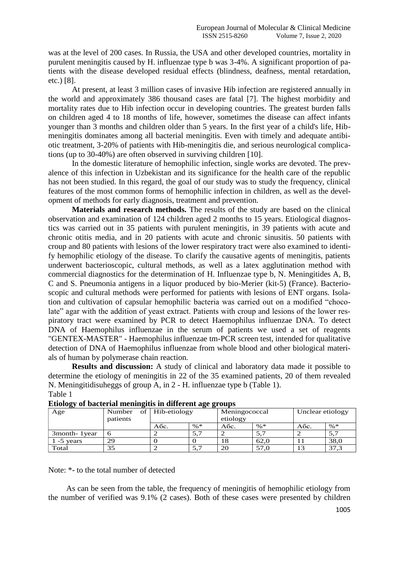was at the level of 200 cases. In Russia, the USA and other developed countries, mortality in purulent meningitis caused by H. influenzae type b was 3-4%. A significant proportion of patients with the disease developed residual effects (blindness, deafness, mental retardation, etc.) [8].

At present, at least 3 million cases of invasive Hib infection are registered annually in the world and approximately 386 thousand cases are fatal [7]. The highest morbidity and mortality rates due to Hib infection occur in developing countries. The greatest burden falls on children aged 4 to 18 months of life, however, sometimes the disease can affect infants younger than 3 months and children older than 5 years. In the first year of a child's life, Hibmeningitis dominates among all bacterial meningitis. Even with timely and adequate antibiotic treatment, 3-20% of patients with Hib-meningitis die, and serious neurological complications (up to 30-40%) are often observed in surviving children [10].

In the domestic literature of hemophilic infection, single works are devoted. The prevalence of this infection in Uzbekistan and its significance for the health care of the republic has not been studied. In this regard, the goal of our study was to study the frequency, clinical features of the most common forms of hemophilic infection in children, as well as the development of methods for early diagnosis, treatment and prevention.

**Materials and research methods.** The results of the study are based on the clinical observation and examination of 124 children aged 2 months to 15 years. Etiological diagnostics was carried out in 35 patients with purulent meningitis, in 39 patients with acute and chronic otitis media, and in 20 patients with acute and chronic sinusitis. 50 patients with croup and 80 patients with lesions of the lower respiratory tract were also examined to identify hemophilic etiology of the disease. To clarify the causative agents of meningitis, patients underwent bacterioscopic, cultural methods, as well as a latex agglutination method with commercial diagnostics for the determination of H. Influenzae type b, N. Meningitides A, B, C and S. Pneumonia antigens in a liquor produced by bio-Merier (kit-5) (France). Bacterioscopic and cultural methods were performed for patients with lesions of ENT organs. Isolation and cultivation of capsular hemophilic bacteria was carried out on a modified "chocolate" agar with the addition of yeast extract. Patients with croup and lesions of the lower respiratory tract were examined by PCR to detect Haemophilus influenzae DNA. To detect DNA of Haemophilus influenzae in the serum of patients we used a set of reagents "GENTEX-MASTER" - Haemophilus influenzae tm-PCR screen test, intended for qualitative detection of DNA of Haemophilus influenzae from whole blood and other biological materials of human by polymerase chain reaction.

**Results and discussion:** A study of clinical and laboratory data made it possible to determine the etiology of meningitis in 22 of the 35 examined patients, 20 of them revealed N. Meningitidisuheggs of group A, in 2 - H. influenzae type b (Table 1). Table 1

| <b>Eugly</b> of bucterial memory in university groups |              |              |        |               |        |                   |        |  |
|-------------------------------------------------------|--------------|--------------|--------|---------------|--------|-------------------|--------|--|
| Age                                                   | оf<br>Number | Hib-etiology |        | Meningococcal |        | Unclear etiology  |        |  |
|                                                       | patients     |              |        | etiology      |        |                   |        |  |
|                                                       |              | Aбс.         | $\% *$ | Абс.          | $\% *$ | A <sub>6</sub> c. | $\% *$ |  |
| 3 month-1 year                                        |              |              | 5,7    |               | 5.7    |                   | 5,7    |  |
| $1 - 5$ years                                         | 29           |              |        | 18            | 62,0   |                   | 38,0   |  |
| Total                                                 | 35           |              | 5,7    | 20            | 57.0   |                   | 37,3   |  |

## **Etiology of bacterial meningitis in different age groups**

Note: \*- to the total number of detected

As can be seen from the table, the frequency of meningitis of hemophilic etiology from the number of verified was 9.1% (2 cases). Both of these cases were presented by children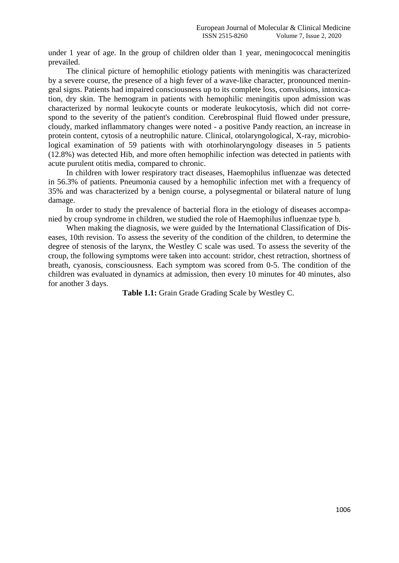under 1 year of age. In the group of children older than 1 year, meningococcal meningitis prevailed.

The clinical picture of hemophilic etiology patients with meningitis was characterized by a severe course, the presence of a high fever of a wave-like character, pronounced meningeal signs. Patients had impaired consciousness up to its complete loss, convulsions, intoxication, dry skin. The hemogram in patients with hemophilic meningitis upon admission was characterized by normal leukocyte counts or moderate leukocytosis, which did not correspond to the severity of the patient's condition. Cerebrospinal fluid flowed under pressure, cloudy, marked inflammatory changes were noted - a positive Pandy reaction, an increase in protein content, cytosis of a neutrophilic nature. Clinical, otolaryngological, X-ray, microbiological examination of 59 patients with with otorhinolaryngology diseases in 5 patients (12.8%) was detected Hib, and more often hemophilic infection was detected in patients with acute purulent otitis media, compared to chronic.

In children with lower respiratory tract diseases, Haemophilus influenzae was detected in 56.3% of patients. Pneumonia caused by a hemophilic infection met with a frequency of 35% and was characterized by a benign course, a polysegmental or bilateral nature of lung damage.

In order to study the prevalence of bacterial flora in the etiology of diseases accompanied by croup syndrome in children, we studied the role of Haemophilus influenzae type b.

When making the diagnosis, we were guided by the International Classification of Diseases, 10th revision. To assess the severity of the condition of the children, to determine the degree of stenosis of the larynx, the Westley C scale was used. To assess the severity of the croup, the following symptoms were taken into account: stridor, chest retraction, shortness of breath, cyanosis, consciousness. Each symptom was scored from 0-5. The condition of the children was evaluated in dynamics at admission, then every 10 minutes for 40 minutes, also for another 3 days.

**Table 1.1:** Grain Grade Grading Scale by Westley C.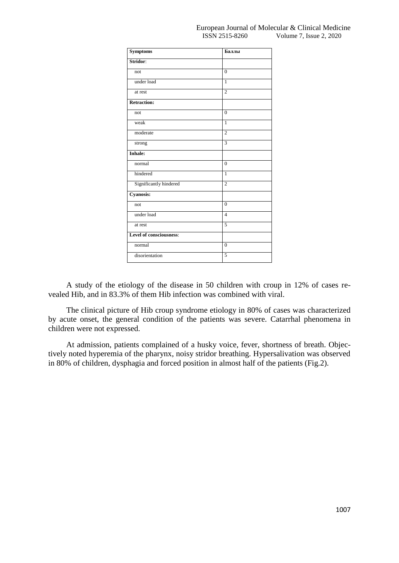| <b>Symptoms</b>                | Баллы          |  |  |
|--------------------------------|----------------|--|--|
| Stridor:                       |                |  |  |
| not                            | $\overline{0}$ |  |  |
| under load                     | $\mathbf{1}$   |  |  |
| at rest                        | $\overline{2}$ |  |  |
| <b>Retraction:</b>             |                |  |  |
| not                            | $\theta$       |  |  |
| weak                           | $\mathbf{1}$   |  |  |
| moderate                       | $\overline{2}$ |  |  |
| strong                         | 3              |  |  |
| Inhale:                        |                |  |  |
| normal                         | $\overline{0}$ |  |  |
| hindered                       | $\mathbf{1}$   |  |  |
| Significantly hindered         | $\overline{2}$ |  |  |
| Cyanosis:                      |                |  |  |
| not                            | $\mathbf{0}$   |  |  |
| under load                     | $\overline{4}$ |  |  |
| at rest                        | $\overline{5}$ |  |  |
| <b>Level of consciousness:</b> |                |  |  |
| normal                         | $\overline{0}$ |  |  |
| disorientation                 | 5              |  |  |
|                                |                |  |  |

A study of the etiology of the disease in 50 children with croup in 12% of cases revealed Hib, and in 83.3% of them Hib infection was combined with viral.

The clinical picture of Hib croup syndrome etiology in 80% of cases was characterized by acute onset, the general condition of the patients was severe. Catarrhal phenomena in children were not expressed.

At admission, patients complained of a husky voice, fever, shortness of breath. Objectively noted hyperemia of the pharynx, noisy stridor breathing. Hypersalivation was observed in 80% of children, dysphagia and forced position in almost half of the patients (Fig.2).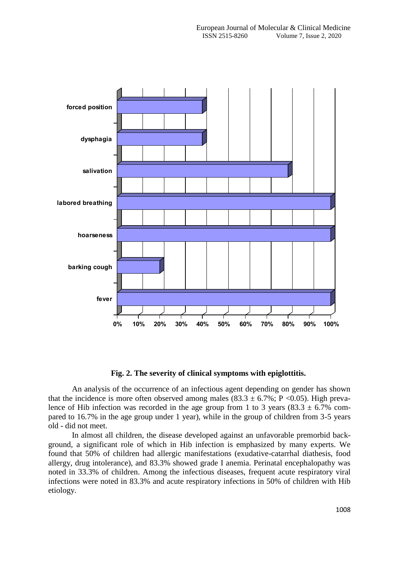

**Fig. 2. The severity of clinical symptoms with epiglottitis.**

An analysis of the occurrence of an infectious agent depending on gender has shown that the incidence is more often observed among males (83.3  $\pm$  6.7%; P <0.05). High prevalence of Hib infection was recorded in the age group from 1 to 3 years (83.3  $\pm$  6.7% compared to 16.7% in the age group under 1 year), while in the group of children from 3-5 years old - did not meet.

In almost all children, the disease developed against an unfavorable premorbid background, a significant role of which in Hib infection is emphasized by many experts. We found that 50% of children had allergic manifestations (exudative-catarrhal diathesis, food allergy, drug intolerance), and 83.3% showed grade I anemia. Perinatal encephalopathy was noted in 33.3% of children. Among the infectious diseases, frequent acute respiratory viral infections were noted in 83.3% and acute respiratory infections in 50% of children with Hib etiology.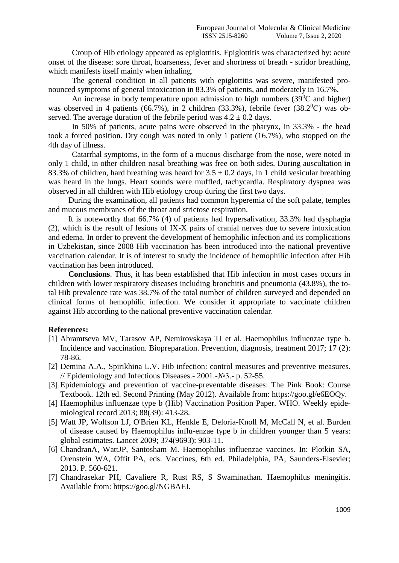Croup of Hib etiology appeared as epiglottitis. Epiglottitis was characterized by: acute onset of the disease: sore throat, hoarseness, fever and shortness of breath - stridor breathing, which manifests itself mainly when inhaling.

The general condition in all patients with epiglottitis was severe, manifested pronounced symptoms of general intoxication in 83.3% of patients, and moderately in 16.7%.

An increase in body temperature upon admission to high numbers  $(39^0C)$  and higher) was observed in 4 patients (66.7%), in 2 children (33.3%), febrile fever (38.2 $^{\circ}$ C) was observed. The average duration of the febrile period was  $4.2 \pm 0.2$  days.

In 50% of patients, acute pains were observed in the pharynx, in 33.3% - the head took a forced position. Dry cough was noted in only 1 patient (16.7%), who stopped on the 4th day of illness.

Catarrhal symptoms, in the form of a mucous discharge from the nose, were noted in only 1 child, in other children nasal breathing was free on both sides. During auscultation in 83.3% of children, hard breathing was heard for  $3.5 \pm 0.2$  days, in 1 child vesicular breathing was heard in the lungs. Heart sounds were muffled, tachycardia. Respiratory dyspnea was observed in all children with Hib etiology croup during the first two days.

During the examination, all patients had common hyperemia of the soft palate, temples and mucous membranes of the throat and strictose respiration.

It is noteworthy that 66.7% (4) of patients had hypersalivation, 33.3% had dysphagia (2), which is the result of lesions of IX-X pairs of cranial nerves due to severe intoxication and edema. In order to prevent the development of hemophilic infection and its complications in Uzbekistan, since 2008 Hib vaccination has been introduced into the national preventive vaccination calendar. It is of interest to study the incidence of hemophilic infection after Hib vaccination has been introduced.

**Conclusions**. Thus, it has been established that Hib infection in most cases occurs in children with lower respiratory diseases including bronchitis and pneumonia (43.8%), the total Hib prevalence rate was 38.7% of the total number of children surveyed and depended on clinical forms of hemophilic infection. We consider it appropriate to vaccinate children against Hib according to the national preventive vaccination calendar.

## **References:**

- [1] Abramtseva MV, Tarasov AP, Nemirovskaya TI et al. Haemophilus influenzae type b. Incidence and vaccination. Biopreparation. Prevention, diagnosis, treatment 2017; 17 (2): 78-86.
- [2] Demina A.A., Spirikhina L.V. Hib infection: control measures and preventive measures. // Epidemiology and Infectious Diseases.- 2001.-№3.- p. 52-55.
- [3] Epidemiology and prevention of vaccine-preventable diseases: The Pink Book: Course Textbook. 12th ed. Second Printing (May 2012). Available from: https://goo.gl/e6EOQy.
- [4] Haemophilus influenzae type b (Hib) Vaccination Position Paper. WHO. Weekly epidemiological record 2013; 88(39): 413-28.
- [5] Watt JP, Wolfson LJ, O'Brien KL, Henkle E, Deloria-Knoll M, McCall N, et al. Burden of disease caused by Haemophilus influ-enzae type b in children younger than 5 years: global estimates. Lancet 2009; 374(9693): 903-11.
- [6] ChandranA, WattJP, Santosham M. Haemophilus influenzae vaccines. In: Plotkin SA, Orenstein WA, Offit PA, eds. Vaccines, 6th ed. Philadelphia, PA, Saunders-Elsevier; 2013. P. 560-621.
- [7] Chandrasekar PH, Cavaliere R, Rust RS, S Swaminathan. Haemophilus meningitis. Available from: https://goo.gl/NGBAEI.